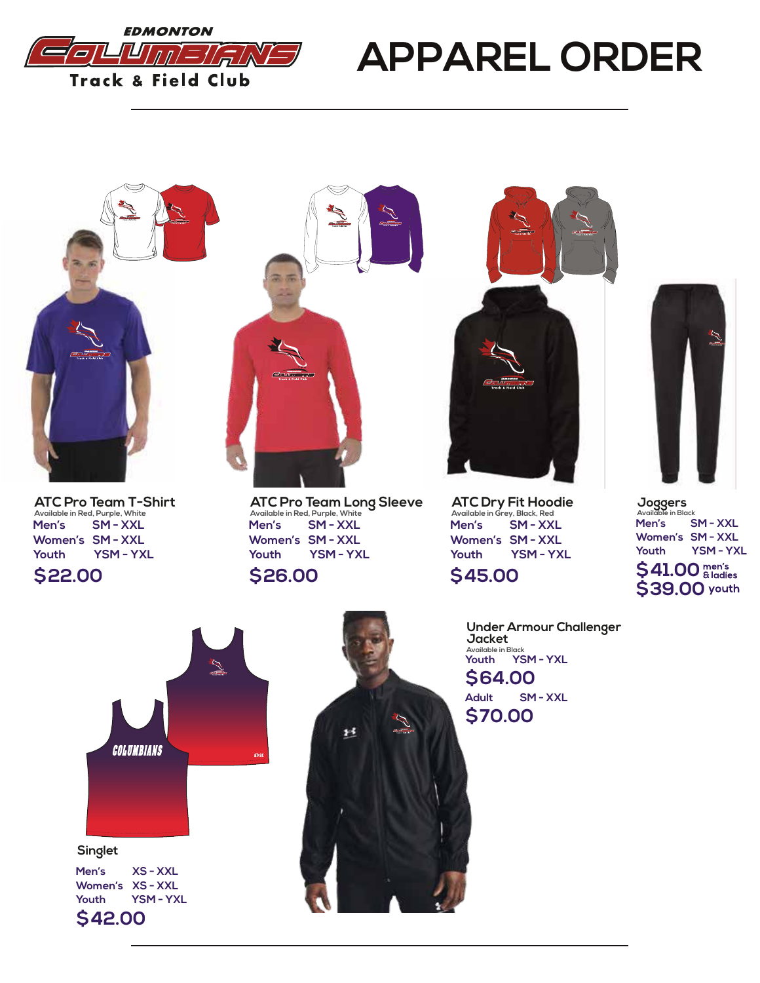

## **APPAREL ORDER**



**\$22.00 ATC Pro Team T-Shirt Available in Red, Purple, White Men's SM - XXL Women's SM - XXL Youth YSM - YXL**



**ATC Pro Team Long Sleeve Available in Red, Purple, White Men's SM - XXL Women's SM - XXL Youth YSM - YXL**





**ATC Dry Fit Hoodie Available in Grey, Black, Red Men's SM - XXL Women's SM - XXL Youth YSM - YXL**

## **\$45.00**

**Under Armour Challenger Jacket**



\$41.00 **<u><sup>men's</sup>**</u> **\$39.00 Joggers Available in Black Men's SM - XXL Women's SM - XXL Youth YSM - YXL**





**\$64.00 Available in Black Youth YSM - YXL \$70.00 Adult SM - XXL**